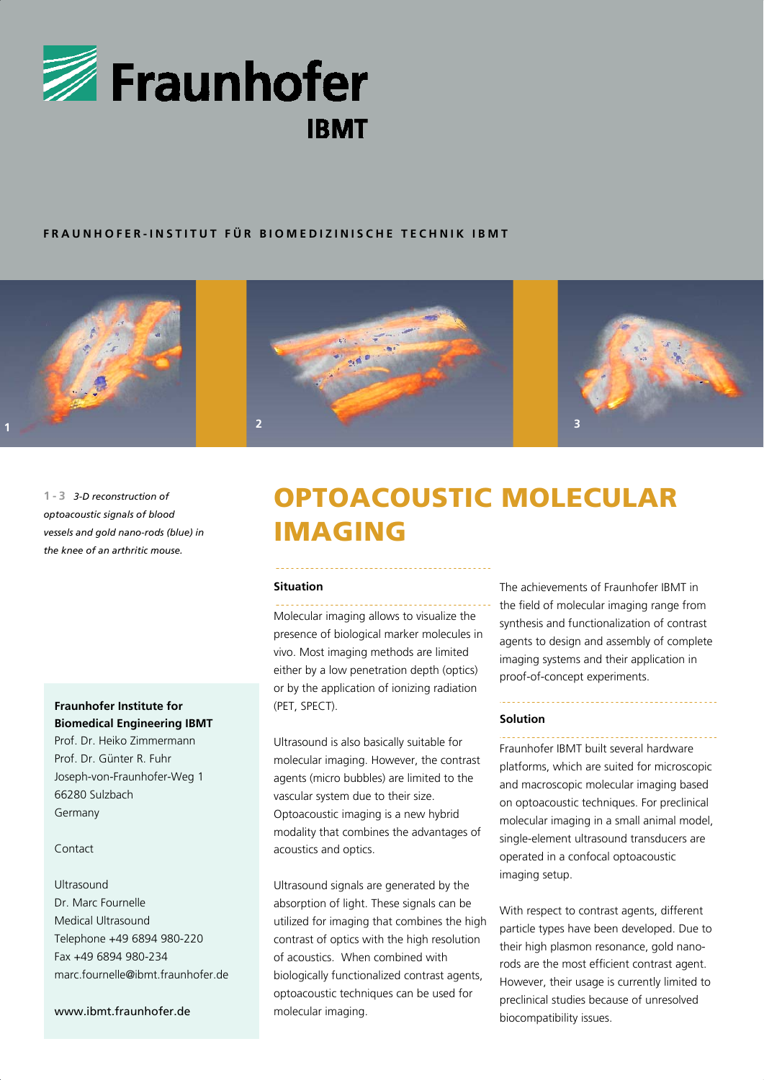

## **FRAUNHOFER-INSTITUT FÜR BIOMEDIZINISCHE TECHNIK IBMT**







**1-3** *3-D reconstruction of optoacoustic signals of blood vessels and gold nano-rods (blue) in the knee of an arthritic mouse.*

# **Fraunhofer Institute for Biomedical Engineering IBMT**

Prof. Dr. Heiko Zimmermann Prof. Dr. Günter R. Fuhr Joseph-von-Fraunhofer-Weg 1 66280 Sulzbach Germany

### Contact

## Ultrasound Dr. Marc Fournelle Medical Ultrasound Telephone +49 6894 980-220 Fax +49 6894 980-234 marc.fournelle@ibmt.fraunhofer.de

#### www.ibmt.fraunhofer.de

# OPTOACOUSTIC MOLECULAR IMAGING

#### **Situation**

Molecular imaging allows to visualize the presence of biological marker molecules in vivo. Most imaging methods are limited either by a low penetration depth (optics) or by the application of ionizing radiation (PET, SPECT).

Ultrasound is also basically suitable for molecular imaging. However, the contrast agents (micro bubbles) are limited to the vascular system due to their size. Optoacoustic imaging is a new hybrid modality that combines the advantages of acoustics and optics.

Ultrasound signals are generated by the absorption of light. These signals can be utilized for imaging that combines the high contrast of optics with the high resolution of acoustics. When combined with biologically functionalized contrast agents, optoacoustic techniques can be used for molecular imaging.

The achievements of Fraunhofer IBMT in the field of molecular imaging range from synthesis and functionalization of contrast agents to design and assembly of complete imaging systems and their application in proof-of-concept experiments.

#### **Solution**

Fraunhofer IBMT built several hardware platforms, which are suited for microscopic and macroscopic molecular imaging based on optoacoustic techniques. For preclinical molecular imaging in a small animal model, single-element ultrasound transducers are operated in a confocal optoacoustic imaging setup.

With respect to contrast agents, different particle types have been developed. Due to their high plasmon resonance, gold nanorods are the most efficient contrast agent. However, their usage is currently limited to preclinical studies because of unresolved biocompatibility issues.